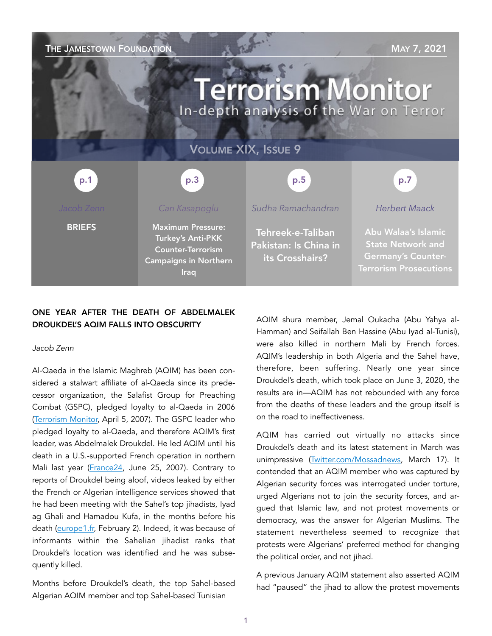THE JAMESTOWN FOUNDATION MAY 7, 2021 **Terrorism Monitor** In-depth analysis of the War on Terror VOLUME XIX, ISSUE 9 p.3 p.1 p.5 p.7*Herbert Maack Can Kasapoglu Sudha Ramachandran*  **BRIEFS** Maximum Pressure: Tehreek-e-Taliban Abu Walaa's Islamic Turkey's Anti-PKK Pakistan: Is China in State Network and Counter-Terrorism Germany's Counterits Crosshairs? Campaigns in Northern Terrorism Prosecutions Iraq

# ONE YEAR AFTER THE DEATH OF ABDELMALEK DROUKDEL'S AQIM FALLS INTO OBSCURITY

#### *Jacob Zenn*

Al-Qaeda in the Islamic Maghreb (AQIM) has been considered a stalwart affiliate of al-Qaeda since its predecessor organization, the Salafist Group for Preaching Combat (GSPC), pledged loyalty to al-Qaeda in 2006 ([Terrorism Monitor,](https://jamestown.org/program/al-qaeda-and-algerias-gspc-part-of-a-much-bigger-picture/) April 5, 2007). The GSPC leader who pledged loyalty to al-Qaeda, and therefore AQIM's first leader, was Abdelmalek Droukdel. He led AQIM until his death in a U.S.-supported French operation in northern Mali last year [\(France24,](https://www.france24.com/en/20200605-french-forces-kill-al-qaeda-s-north-africa-chief-in-mali-ministry-says) June 25, 2007). Contrary to reports of Droukdel being aloof, videos leaked by either the French or Algerian intelligence services showed that he had been meeting with the Sahel's top jihadists, Iyad ag Ghali and Hamadou Kufa, in the months before his death [\(europe1.fr,](https://www.europe1.fr/international/quand-la-dgse-devoile-une-video-tournee-clandestinement-au-coeur-dal-qaida-4022627) February 2). Indeed, it was because of informants within the Sahelian jihadist ranks that Droukdel's location was identified and he was subsequently killed.

Months before Droukdel's death, the top Sahel-based Algerian AQIM member and top Sahel-based Tunisian

AQIM shura member, Jemal Oukacha (Abu Yahya al-Hamman) and Seifallah Ben Hassine (Abu Iyad al-Tunisi), were also killed in northern Mali by French forces. AQIM's leadership in both Algeria and the Sahel have, therefore, been suffering. Nearly one year since Droukdel's death, which took place on June 3, 2020, the results are in—AQIM has not rebounded with any force from the deaths of these leaders and the group itself is on the road to ineffectiveness.

AQIM has carried out virtually no attacks since Droukdel's death and its latest statement in March was unimpressive ([Twitter.com/Mossadnews,](https://twitter.com/MossadNews/status/1372181243392036867) March 17). It contended that an AQIM member who was captured by Algerian security forces was interrogated under torture, urged Algerians not to join the security forces, and argued that Islamic law, and not protest movements or democracy, was the answer for Algerian Muslims. The statement nevertheless seemed to recognize that protests were Algerians' preferred method for changing the political order, and not jihad.

A previous January AQIM statement also asserted AQIM had "paused" the jihad to allow the protest movements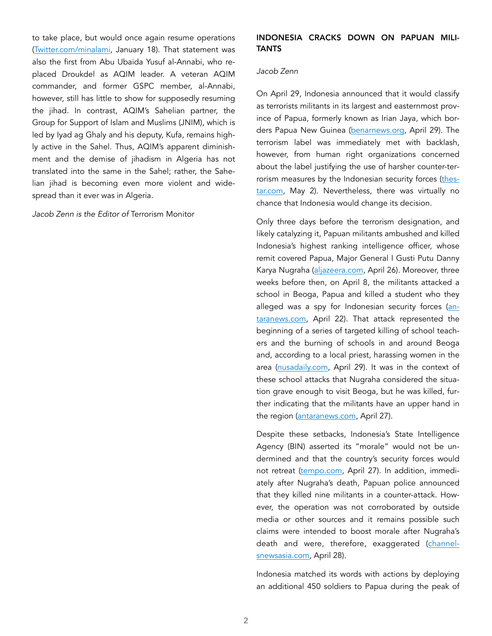to take place, but would once again resume operations ([Twitter.com/minalami](https://twitter.com/Minalami/status/1351066646086086656), January 18). That statement was also the first from Abu Ubaida Yusuf al-Annabi, who replaced Droukdel as AQIM leader. A veteran AQIM commander, and former GSPC member, al-Annabi, however, still has little to show for supposedly resuming the jihad. In contrast, AQIM's Sahelian partner, the Group for Support of Islam and Muslims (JNIM), which is led by Iyad ag Ghaly and his deputy, Kufa, remains highly active in the Sahel. Thus, AQIM's apparent diminishment and the demise of jihadism in Algeria has not translated into the same in the Sahel; rather, the Sahelian jihad is becoming even more violent and widespread than it ever was in Algeria.

*Jacob Zenn is the Editor of* Terrorism Monitor

## INDONESIA CRACKS DOWN ON PAPUAN MILI-**TANTS**

#### *Jacob Zenn*

On April 29, Indonesia announced that it would classify as terrorists militants in its largest and easternmost province of Papua, formerly known as Irian Jaya, which borders Papua New Guinea ([benarnews.org](https://www.benarnews.org/english/news/indonesian/id-papua-terrorism-04292021152016.html), April 29). The terrorism label was immediately met with backlash, however, from human right organizations concerned about the label justifying the use of harsher counter-terrorism measures by the Indonesian security forces ([thes](https://www.thestar.com.my/aseanplus/aseanplus-news/2021/05/02/indonesia-not-a-wise-move-critics-decry-terrorist-label-for-papuan-rebels)[tar.com](https://www.thestar.com.my/aseanplus/aseanplus-news/2021/05/02/indonesia-not-a-wise-move-critics-decry-terrorist-label-for-papuan-rebels), May 2). Nevertheless, there was virtually no chance that Indonesia would change its decision.

Only three days before the terrorism designation, and likely catalyzing it, Papuan militants ambushed and killed Indonesia's highest ranking intelligence officer, whose remit covered Papua, Major General I Gusti Putu Danny Karya Nugraha [\(aljazeera.com](https://www.aljazeera.com/news/2021/4/26/papua-intelligence-chief-killed-in-indonesia-rebel-attack), April 26). Moreover, three weeks before then, on April 8, the militants attacked a school in Beoga, Papua and killed a student who they alleged was a spy for Indonesian security forces ([an](https://en.antaranews.com/news/173122/slain-students-father-decries-armed-papuan-criminals-as-terrorists)[taranews.com,](https://en.antaranews.com/news/173122/slain-students-father-decries-armed-papuan-criminals-as-terrorists) April 22). That attack represented the beginning of a series of targeted killing of school teachers and the burning of schools in and around Beoga and, according to a local priest, harassing women in the area ([nusadaily.com](https://nusadaily.com/en/news/beoga-villagers-daughters-harassed-by-armed-papuan-criminals.html), April 29). It was in the context of these school attacks that Nugraha considered the situation grave enough to visit Beoga, but he was killed, further indicating that the militants have an upper hand in the region ([antaranews.com](https://en.antaranews.com/news/173434/indonesias-fallen-agent-laid-to-rest-at-kalibata-heroes-cemetery), April 27).

Despite these setbacks, Indonesia's State Intelligence Agency (BIN) asserted its "morale" would not be undermined and that the country's security forces would not retreat [\(tempo.com,](https://en.tempo.co/read/1456632/agents-death-not-a-retreat-against-armed-terrorists-in-papua-bin) April 27). In addition, immediately after Nugraha's death, Papuan police announced that they killed nine militants in a counter-attack. However, the operation was not corroborated by outside media or other sources and it remains possible such claims were intended to boost morale after Nugraha's death and were, therefore, exaggerated ([channel](https://en.tempo.co/read/1456632/agents-death-not-a-retreat-against-armed-terrorists-in-papua-bin)[snewsasia.com](https://en.tempo.co/read/1456632/agents-death-not-a-retreat-against-armed-terrorists-in-papua-bin), April 28).

Indonesia matched its words with actions by deploying an additional 450 soldiers to Papua during the peak of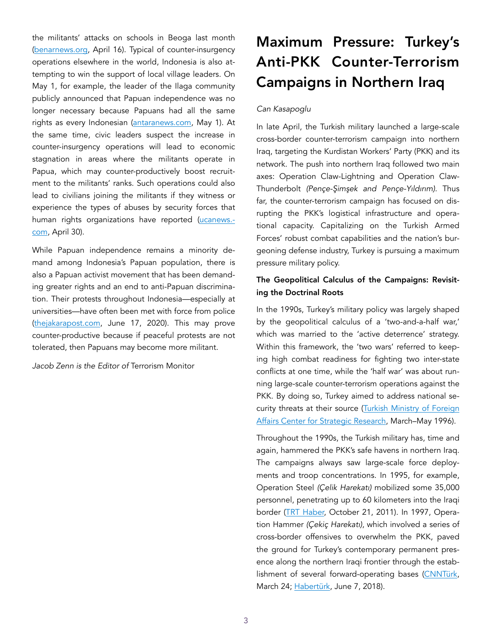the militants' attacks on schools in Beoga last month ([benarnews.org](https://www.benarnews.org/english/news/indonesian/papua-insurgency-04162021115519.html), April 16). Typical of counter-insurgency operations elsewhere in the world, Indonesia is also attempting to win the support of local village leaders. On May 1, for example, the leader of the Ilaga community publicly announced that Papuan independence was no longer necessary because Papuans had all the same rights as every Indonesian ([antaranews.com](https://en.antaranews.com/news/173822/see-no-reason-for-papuans-to-demand-independence-community-leader), May 1). At the same time, civic leaders suspect the increase in counter-insurgency operations will lead to economic stagnation in areas where the militants operate in Papua, which may counter-productively boost recruitment to the militants' ranks. Such operations could also lead to civilians joining the militants if they witness or experience the types of abuses by security forces that human rights organizations have reported [\(ucanews.](https://www.ucanews.com/news/indonesian-activists-fear-papua-violence-will-escalate/92303)[com](https://www.ucanews.com/news/indonesian-activists-fear-papua-violence-will-escalate/92303), April 30).

While Papuan independence remains a minority demand among Indonesia's Papuan population, there is also a Papuan activist movement that has been demanding greater rights and an end to anti-Papuan discrimination. Their protests throughout Indonesia—especially at universities—have often been met with force from police ([thejakarapost.com,](https://www.thejakartapost.com/news/2020/06/17/papuan-protesters-sentenced-to-less-than-one-year-for-treason-amid-calls-to-drop-charges.html) June 17, 2020). This may prove counter-productive because if peaceful protests are not tolerated, then Papuans may become more militant.

*Jacob Zenn is the Editor of* Terrorism Monitor

# Maximum Pressure: Turkey's Anti-PKK Counter-Terrorism Campaigns in Northern Iraq

## *Can Kasapoglu*

In late April, the Turkish military launched a large-scale cross-border counter-terrorism campaign into northern Iraq, targeting the Kurdistan Workers' Party (PKK) and its network. The push into northern Iraq followed two main axes: Operation Claw-Lightning and Operation Claw-Thunderbolt *(Pençe-*Ş*im*ş*ek and Pençe-Yıldırım).* Thus far, the counter-terrorism campaign has focused on disrupting the PKK's logistical infrastructure and operational capacity. Capitalizing on the Turkish Armed Forces' robust combat capabilities and the nation's burgeoning defense industry, Turkey is pursuing a maximum pressure military policy.

# The Geopolitical Calculus of the Campaigns: Revisiting the Doctrinal Roots

In the 1990s, Turkey's military policy was largely shaped by the geopolitical calculus of a 'two-and-a-half war,' which was married to the 'active deterrence' strategy. Within this framework, the 'two wars' referred to keeping high combat readiness for fighting two inter-state conflicts at one time, while the 'half war' was about running large-scale counter-terrorism operations against the PKK. By doing so, Turkey aimed to address national security threats at their source [\(Turkish Ministry of Foreign](http://sam.gov.tr/pdf/perceptions/Volume-I/march-may-1996/SukruElekdag.pdf)  [Affairs Center for Strategic Research, March–May 1996\).](http://sam.gov.tr/pdf/perceptions/Volume-I/march-may-1996/SukruElekdag.pdf) 

Throughout the 1990s, the Turkish military has, time and again, hammered the PKK's safe havens in northern Iraq. The campaigns always saw large-scale force deployments and troop concentrations. In 1995, for example, Operation Steel *(Çelik Harekatı)* mobilized some 35,000 personnel, penetrating up to 60 kilometers into the Iraqi border ([TRT Haber,](https://www.trthaber.com/haber/turkiye/celik-harekati-13589.html) October 21, 2011). In 1997, Operation Hammer *(Çekiç Harekatı)*, which involved a series of cross-border offensives to overwhelm the PKK, paved the ground for Turkey's contemporary permanent presence along the northern Iraqi frontier through the estab-lishment of several forward-operating bases [\(CNNTürk](https://www.youtube.com/watch?v=emHTxBx5Ynw), March 24; [Habertürk,](https://www.youtube.com/watch?v=ZTAUyfHq1WY) June 7, 2018).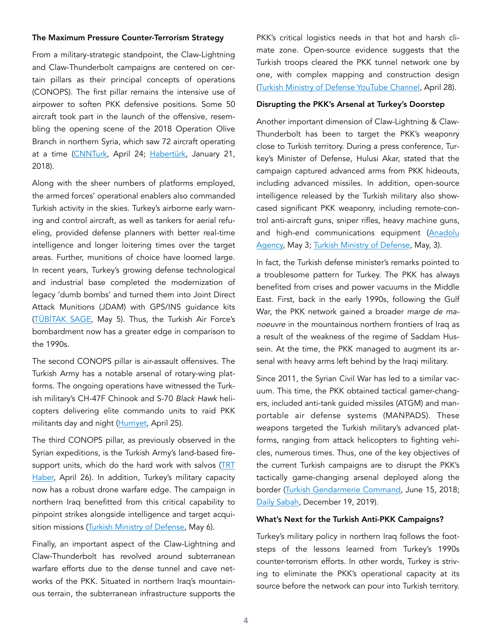#### The Maximum Pressure Counter-Terrorism Strategy

From a military-strategic standpoint, the Claw-Lightning and Claw-Thunderbolt campaigns are centered on certain pillars as their principal concepts of operations (CONOPS). The first pillar remains the intensive use of airpower to soften PKK defensive positions. Some 50 aircraft took part in the launch of the offensive, resembling the opening scene of the 2018 Operation Olive Branch in northern Syria, which saw 72 aircraft operating at a time ([CNNTurk](https://www.cnnturk.com/turkiye/son-dakika-metinaya-kara-harekati-basladi), April 24; [Habertürk](https://www.haberturk.com/zeytin-dali-icin-havalanan-72-ucagin-sirri-1805037), January 21, 2018).

Along with the sheer numbers of platforms employed, the armed forces' operational enablers also commanded Turkish activity in the skies. Turkey's airborne early warning and control aircraft, as well as tankers for aerial refueling, provided defense planners with better real-time intelligence and longer loitering times over the target areas. Further, munitions of choice have loomed large. In recent years, Turkey's growing defense technological and industrial base completed the modernization of legacy 'dumb bombs' and turned them into Joint Direct Attack Munitions (JDAM) with GPS/INS guidance kits (TÜBİ[TAK SAGE](https://www.sage.tubitak.gov.tr/tr/urunler/hassas-gudum-kiti-hgk), May 5). Thus, the Turkish Air Force's bombardment now has a greater edge in comparison to the 1990s.

The second CONOPS pillar is air-assault offensives. The Turkish Army has a notable arsenal of rotary-wing platforms. The ongoing operations have witnessed the Turkish military's CH-47F Chinook and S-70 *Black Hawk* helicopters delivering elite commando units to raid PKK militants day and night [\(Hurriyet,](https://www.hurriyet.com.tr/gundem/komandolar-kuzey-irakta-41796352) April 25).

The third CONOPS pillar, as previously observed in the Syrian expeditions, is the Turkish Army's land-based firesupport units, which do the hard work with salvos [\(TRT](https://www.trthaber.com/haber/gundem/pence-operasyonlarinda-teror-hedefleri-boyle-vuruluyor-575884.html)  [Haber,](https://www.trthaber.com/haber/gundem/pence-operasyonlarinda-teror-hedefleri-boyle-vuruluyor-575884.html) April 26). In addition, Turkey's military capacity now has a robust drone warfare edge. The campaign in northern Iraq benefitted from this critical capability to pinpoint strikes alongside intelligence and target acqui-sition missions ([Turkish Ministry of Defense](https://twitter.com/tcsavunma/status/1390198867749220352), May 6).

Finally, an important aspect of the Claw-Lightning and Claw-Thunderbolt has revolved around subterranean warfare efforts due to the dense tunnel and cave networks of the PKK. Situated in northern Iraq's mountainous terrain, the subterranean infrastructure supports the

PKK's critical logistics needs in that hot and harsh climate zone. Open-source evidence suggests that the Turkish troops cleared the PKK tunnel network one by one, with complex mapping and construction design ([Turkish Ministry of Defense YouTube Channel](https://www.youtube.com/watch?v=xhlOlsi2bIg), April 28).

#### Disrupting the PKK's Arsenal at Turkey's Doorstep

Another important dimension of Claw-Lightning & Claw-Thunderbolt has been to target the PKK's weaponry close to Turkish territory. During a press conference, Turkey's Minister of Defense, Hulusi Akar, stated that the campaign captured advanced arms from PKK hideouts, including advanced missiles. In addition, open-source intelligence released by the Turkish military also showcased significant PKK weaponry, including remote-control anti-aircraft guns, sniper rifles, heavy machine guns, and high-end communications equipment ([Anadolu](https://www.aa.com.tr/tr/turkiye/milli-savunma-bakani-akar-kartal-yuvasinda-/2227636) [Agency,](https://www.aa.com.tr/tr/turkiye/milli-savunma-bakani-akar-kartal-yuvasinda-/2227636) May 3; [Turkish Ministry of Defense](https://twitter.com/tcsavunma/status/1389128589799530498), May, 3).

In fact, the Turkish defense minister's remarks pointed to a troublesome pattern for Turkey. The PKK has always benefited from crises and power vacuums in the Middle East. First, back in the early 1990s, following the Gulf War, the PKK network gained a broader *marge de manoeuvre* in the mountainous northern frontiers of Iraq as a result of the weakness of the regime of Saddam Hussein. At the time, the PKK managed to augment its arsenal with heavy arms left behind by the Iraqi military.

Since 2011, the Syrian Civil War has led to a similar vacuum. This time, the PKK obtained tactical gamer-changers, included anti-tank guided missiles (ATGM) and manportable air defense systems (MANPADS). These weapons targeted the Turkish military's advanced platforms, ranging from attack helicopters to fighting vehicles, numerous times. Thus, one of the key objectives of the current Turkish campaigns are to disrupt the PKK's tactically game-changing arsenal deployed along the border [\(Turkish Gendarmerie Command,](https://twitter.com/jandarma/status/1007703749308055553) June 15, 2018; [Daily Sabah,](https://www.dailysabah.com/politics/2019/12/27/russian-manpads-found-in-pkk-hideouts-in-northern-iraq) December 19, 2019).

### What's Next for the Turkish Anti-PKK Campaigns?

Turkey's military policy in northern Iraq follows the footsteps of the lessons learned from Turkey's 1990s counter-terrorism efforts. In other words, Turkey is striving to eliminate the PKK's operational capacity at its source before the network can pour into Turkish territory.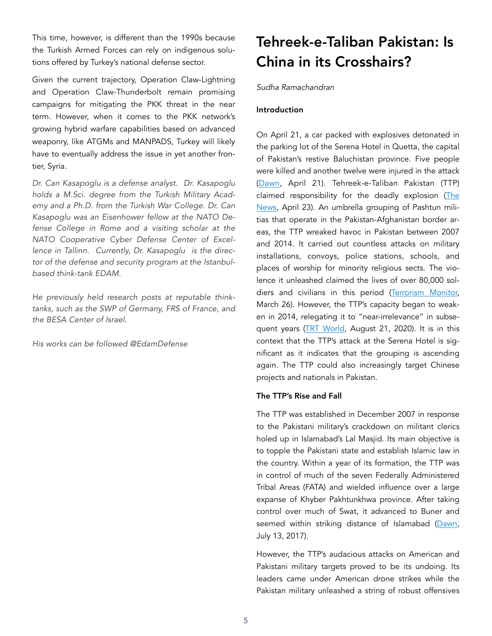This time, however, is different than the 1990s because the Turkish Armed Forces can rely on indigenous solutions offered by Turkey's national defense sector.

Given the current trajectory, Operation Claw-Lightning and Operation Claw-Thunderbolt remain promising campaigns for mitigating the PKK threat in the near term. However, when it comes to the PKK network's growing hybrid warfare capabilities based on advanced weaponry, like ATGMs and MANPADS, Turkey will likely have to eventually address the issue in yet another frontier, Syria.

*Dr. Can Kasapoglu is a defense analyst. Dr. Kasapoglu holds a M.Sci. degree from the Turkish Military Academy and a Ph.D. from the Turkish War College. Dr. Can Kasapoglu was an Eisenhower fellow at the NATO Defense College in Rome and a visiting scholar at the NATO Cooperative Cyber Defense Center of Excellence in Tallinn. Currently, Dr. Kasapoglu is the director of the defense and security program at the Istanbulbased think-tank EDAM.* 

*He previously held research posts at reputable thinktanks, such as the SWP of Germany, FRS of France, and the BESA Center of Israel.* 

*His works can be followed @EdamDefense* 

# Tehreek-e-Taliban Pakistan: Is China in its Crosshairs?

*Sudha Ramachandran* 

# Introduction

On April 21, a car packed with explosives detonated in the parking lot of the Serena Hotel in Quetta, the capital of Pakistan's restive Baluchistan province. Five people were killed and another twelve were injured in the attack ([Dawn](https://www.dawn.com/news/1619534), April 21). Tehreek-e-Taliban Pakistan (TTP) claimed responsibility for the deadly explosion [\(The](https://www.thenews.com.pk/print/824760-ttp-claims-responsibility-for-quetta-blast) [News](https://www.thenews.com.pk/print/824760-ttp-claims-responsibility-for-quetta-blast), April 23). An umbrella grouping of Pashtun militias that operate in the Pakistan-Afghanistan border areas, the TTP wreaked havoc in Pakistan between 2007 and 2014. It carried out countless attacks on military installations, convoys, police stations, schools, and places of worship for minority religious sects. The violence it unleashed claimed the lives of over 80,000 soldiers and civilians in this period [\(Terrorism Monitor,](https://jamestown.org/program/pakistans-dual-counter-terrorism-challenges-tehreek-i-taliban-pakistans-merger-and-cross-border-campaign-from-afghanistan/) March 26). However, the TTP's capacity began to weaken in 2014, relegating it to "near-irrelevance" in subsequent years [\(TRT World,](https://www.trtworld.com/opinion/the-rebranded-pakistani-taliban-may-pose-a-renewed-threat-39082) August 21, 2020). It is in this context that the TTP's attack at the Serena Hotel is significant as it indicates that the grouping is ascending again. The TTP could also increasingly target Chinese projects and nationals in Pakistan.

# The TTP's Rise and Fall

The TTP was established in December 2007 in response to the Pakistani military's crackdown on militant clerics holed up in Islamabad's Lal Masjid. Its main objective is to topple the Pakistani state and establish Islamic law in the country. Within a year of its formation, the TTP was in control of much of the seven Federally Administered Tribal Areas (FATA) and wielded influence over a large expanse of Khyber Pakhtunkhwa province. After taking control over much of Swat, it advanced to Buner and seemed within striking distance of Islamabad ([Dawn](https://www.dawn.com/news/1345068), July 13, 2017).

However, the TTP's audacious attacks on American and Pakistani military targets proved to be its undoing. Its leaders came under American drone strikes while the Pakistan military unleashed a string of robust offensives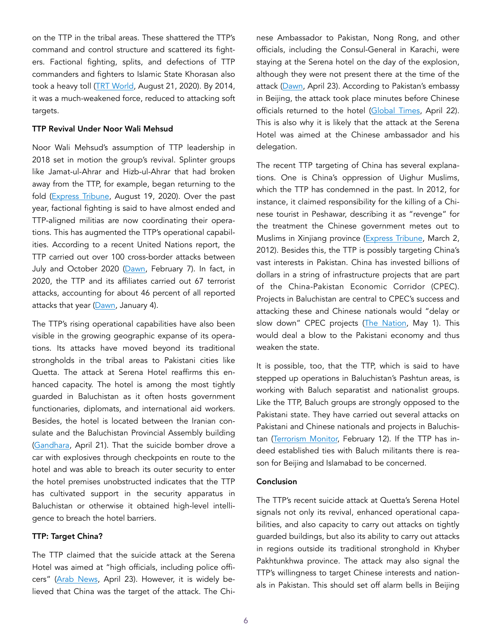on the TTP in the tribal areas. These shattered the TTP's command and control structure and scattered its fighters. Factional fighting, splits, and defections of TTP commanders and fighters to Islamic State Khorasan also took a heavy toll [\(TRT World](https://www.trtworld.com/opinion/the-rebranded-pakistani-taliban-may-pose-a-renewed-threat-39082), August 21, 2020). By 2014, it was a much-weakened force, reduced to attacking soft targets.

#### TTP Revival Under Noor Wali Mehsud

Noor Wali Mehsud's assumption of TTP leadership in 2018 set in motion the group's revival. Splinter groups like Jamat-ul-Ahrar and Hizb-ul-Ahrar that had broken away from the TTP, for example, began returning to the fold [\(Express Tribune,](https://tribune.com.pk/story/2260213/ttp-regroups-with-jua-hua-in-afghanistan) August 19, 2020). Over the past year, factional fighting is said to have almost ended and TTP-aligned militias are now coordinating their operations. This has augmented the TTP's operational capabilities. According to a recent United Nations report, the TTP carried out over 100 cross-border attacks between July and October 2020 [\(Dawn,](https://www.dawn.com/news/1606016) February 7). In fact, in 2020, the TTP and its affiliates carried out 67 terrorist attacks, accounting for about 46 percent of all reported attacks that year [\(Dawn,](https://www.dawn.com/news/1599504) January 4).

The TTP's rising operational capabilities have also been visible in the growing geographic expanse of its operations. Its attacks have moved beyond its traditional strongholds in the tribal areas to Pakistani cities like Quetta. The attack at Serena Hotel reaffirms this enhanced capacity. The hotel is among the most tightly guarded in Baluchistan as it often hosts government functionaries, diplomats, and international aid workers. Besides, the hotel is located between the Iranian consulate and the Baluchistan Provincial Assembly building ([Gandhara](https://gandhara.rferl.org/a/pakistan-quetta-deadly-bomb-blast-killed/31215906.html), April 21). That the suicide bomber drove a car with explosives through checkpoints en route to the hotel and was able to breach its outer security to enter the hotel premises unobstructed indicates that the TTP has cultivated support in the security apparatus in Baluchistan or otherwise it obtained high-level intelligence to breach the hotel barriers.

#### TTP: Target China?

The TTP claimed that the suicide attack at the Serena Hotel was aimed at "high officials, including police offi-cers" ([Arab News,](https://www.arabnews.com/node/1847151/world) April 23). However, it is widely believed that China was the target of the attack. The Chinese Ambassador to Pakistan, Nong Rong, and other officials, including the Consul-General in Karachi, were staying at the Serena hotel on the day of the explosion, although they were not present there at the time of the attack ([Dawn](https://www.dawn.com/news/1619842), April 23). According to Pakistan's embassy in Beijing, the attack took place minutes before Chinese officials returned to the hotel [\(Global Times,](https://www.globaltimes.cn/page/202104/1221783.shtml) April 22). This is also why it is likely that the attack at the Serena Hotel was aimed at the Chinese ambassador and his delegation.

The recent TTP targeting of China has several explanations. One is China's oppression of Uighur Muslims, which the TTP has condemned in the past. In 2012, for instance, it claimed responsibility for the killing of a Chinese tourist in Peshawar, describing it as "revenge" for the treatment the Chinese government metes out to Muslims in Xinjiang province ([Express Tribune](https://tribune.com.pk/story/344297/tehreek-e-taliban-pakistan-claims-responsibility-for-killing-chinese-tourist), March 2, 2012). Besides this, the TTP is possibly targeting China's vast interests in Pakistan. China has invested billions of dollars in a string of infrastructure projects that are part of the China-Pakistan Economic Corridor (CPEC). Projects in Baluchistan are central to CPEC's success and attacking these and Chinese nationals would "delay or slow down" CPEC projects ([The Nation,](https://nation.com.pk/01-May-2021/quetta-attack-lessons-for-pakistan) May 1). This would deal a blow to the Pakistani economy and thus weaken the state.

It is possible, too, that the TTP, which is said to have stepped up operations in Baluchistan's Pashtun areas, is working with Baluch separatist and nationalist groups. Like the TTP, Baluch groups are strongly opposed to the Pakistani state. They have carried out several attacks on Pakistani and Chinese nationals and projects in Baluchistan [\(Terrorism Monitor,](https://jamestown.org/program/baluch-nationalist-separatist-militant-alliance-threatens-pakistani-security-forces/) February 12). If the TTP has indeed established ties with Baluch militants there is reason for Beijing and Islamabad to be concerned.

#### Conclusion

The TTP's recent suicide attack at Quetta's Serena Hotel signals not only its revival, enhanced operational capabilities, and also capacity to carry out attacks on tightly guarded buildings, but also its ability to carry out attacks in regions outside its traditional stronghold in Khyber Pakhtunkhwa province. The attack may also signal the TTP's willingness to target Chinese interests and nationals in Pakistan. This should set off alarm bells in Beijing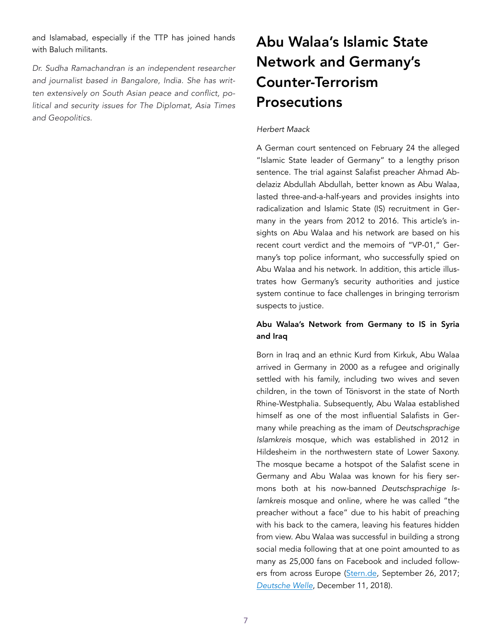and Islamabad, especially if the TTP has joined hands with Baluch militants.

*Dr. Sudha Ramachandran is an independent researcher and journalist based in Bangalore, India. She has written extensively on South Asian peace and conflict, political and security issues for The Diplomat, Asia Times and Geopolitics.* 

# Abu Walaa's Islamic State Network and Germany's Counter-Terrorism Prosecutions

#### *Herbert Maack*

A German court sentenced on February 24 the alleged "Islamic State leader of Germany" to a lengthy prison sentence. The trial against Salafist preacher Ahmad Abdelaziz Abdullah Abdullah, better known as Abu Walaa, lasted three-and-a-half-years and provides insights into radicalization and Islamic State (IS) recruitment in Germany in the years from 2012 to 2016. This article's insights on Abu Walaa and his network are based on his recent court verdict and the memoirs of "VP-01," Germany's top police informant, who successfully spied on Abu Walaa and his network. In addition, this article illustrates how Germany's security authorities and justice system continue to face challenges in bringing terrorism suspects to justice.

# Abu Walaa's Network from Germany to IS in Syria and Iraq

Born in Iraq and an ethnic Kurd from Kirkuk, Abu Walaa arrived in Germany in 2000 as a refugee and originally settled with his family, including two wives and seven children, in the town of Tönisvorst in the state of North Rhine-Westphalia. Subsequently, Abu Walaa established himself as one of the most influential Salafists in Germany while preaching as the imam of *Deutschsprachige Islamkreis* mosque, which was established in 2012 in Hildesheim in the northwestern state of Lower Saxony. The mosque became a hotspot of the Salafist scene in Germany and Abu Walaa was known for his fiery sermons both at his now-banned *Deutschsprachige Islamkreis* mosque and online, where he was called "the preacher without a face" due to his habit of preaching with his back to the camera, leaving his features hidden from view. Abu Walaa was successful in building a strong social media following that at one point amounted to as many as 25,000 fans on Facebook and included follow-ers from across Europe [\(Stern.de,](https://www.stern.de/panorama/gesellschaft/abu-walaa--wer-ist-mysterioese--mann-ohne-gesicht---7636636.html%22%20%5Cl%20%22:~:text=Aus%20Sicht%20der%20Bundesanwaltschaft%20ist%20Abu%20Walaa%20die,reihenweise%20junge%20M%C3%A4nner%20f%C3%BCr%20den%20IS%20mobilisiert%20hab) September 26, 2017; *[Deutsche Welle](https://www.stern.de/panorama/gesellschaft/abu-walaa--wer-ist-mysterioese--mann-ohne-gesicht---7636636.html%22%20%5Cl%20%22:~:text=Aus%20Sicht%20der%20Bundesanwaltschaft%20ist%20Abu%20Walaa%20die,reihenweise%20junge%20M%C3%A4nner%20f%C3%BCr%20den%20IS%20mobilisiert%20hab)*, December 11, 2018).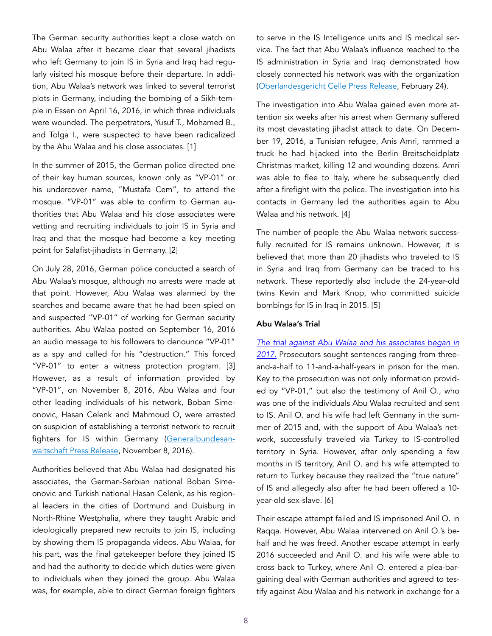The German security authorities kept a close watch on Abu Walaa after it became clear that several jihadists who left Germany to join IS in Syria and Iraq had regularly visited his mosque before their departure. In addition, Abu Walaa's network was linked to several terrorist plots in Germany, including the bombing of a Sikh-temple in Essen on April 16, 2016, in which three individuals were wounded. The perpetrators, Yusuf T., Mohamed B., and Tolga I., were suspected to have been radicalized by the Abu Walaa and his close associates. [1]

In the summer of 2015, the German police directed one of their key human sources, known only as "VP-01" or his undercover name, "Mustafa Cem", to attend the mosque. "VP-01" was able to confirm to German authorities that Abu Walaa and his close associates were vetting and recruiting individuals to join IS in Syria and Iraq and that the mosque had become a key meeting point for Salafist-jihadists in Germany. [2]

On July 28, 2016, German police conducted a search of Abu Walaa's mosque, although no arrests were made at that point. However, Abu Walaa was alarmed by the searches and became aware that he had been spied on and suspected "VP-01" of working for German security authorities. Abu Walaa posted on September 16, 2016 an audio message to his followers to denounce "VP-01" as a spy and called for his "destruction." This forced "VP-01" to enter a witness protection program. [3] However, as a result of information provided by "VP-01", on November 8, 2016, Abu Walaa and four other leading individuals of his network, Boban Simeonovic, Hasan Celenk and Mahmoud O, were arrested on suspicion of establishing a terrorist network to recruit fighters for IS within Germany [\(Generalbundesan](https://www.generalbundesanwalt.de/SharedDocs/Pressemitteilungen/DE/2016/Pressemitteilung-vom-08-11-2016.html?nn=478274)[waltschaft Press Release](https://www.generalbundesanwalt.de/SharedDocs/Pressemitteilungen/DE/2016/Pressemitteilung-vom-08-11-2016.html?nn=478274), November 8, 2016).

Authorities believed that Abu Walaa had designated his associates, the German-Serbian national Boban Simeonovic and Turkish national Hasan Celenk, as his regional leaders in the cities of Dortmund and Duisburg in North-Rhine Westphalia, where they taught Arabic and ideologically prepared new recruits to join IS, including by showing them IS propaganda videos. Abu Walaa, for his part, was the final gatekeeper before they joined IS and had the authority to decide which duties were given to individuals when they joined the group. Abu Walaa was, for example, able to direct German foreign fighters to serve in the IS Intelligence units and IS medical service. The fact that Abu Walaa's influence reached to the IS administration in Syria and Iraq demonstrated how closely connected his network was with the organization ([Oberlandesgericht Celle Press Release](https://oberlandesgericht-celle.niedersachsen.de/startseite/aktuelles/presseinformationen/begrundung-des-urteils-in-dem-staatsschutzverfahren-gegen-abu-walaa-u-a-197719.html), February 24).

The investigation into Abu Walaa gained even more attention six weeks after his arrest when Germany suffered its most devastating jihadist attack to date. On December 19, 2016, a Tunisian refugee, Anis Amri, rammed a truck he had hijacked into the Berlin Breitscheidplatz Christmas market, killing 12 and wounding dozens. Amri was able to flee to Italy, where he subsequently died after a firefight with the police. The investigation into his contacts in Germany led the authorities again to Abu Walaa and his network. [4]

The number of people the Abu Walaa network successfully recruited for IS remains unknown. However, it is believed that more than 20 jihadists who traveled to IS in Syria and Iraq from Germany can be traced to his network. These reportedly also include the 24-year-old twins Kevin and Mark Knop, who committed suicide bombings for IS in Iraq in 2015. [5]

#### Abu Walaa's Trial

*[The trial against Abu Walaa and his associates began in](https://www.dw.com/en/germany-puts-on-trial-abu-walaa-radical-preacher-and-accused-is-recruiter/a-40684714) [2017.](https://www.dw.com/en/germany-puts-on-trial-abu-walaa-radical-preacher-and-accused-is-recruiter/a-40684714)* Prosecutors sought sentences ranging from threeand-a-half to 11-and-a-half-years in prison for the men. Key to the prosecution was not only information provided by "VP-01," but also the testimony of Anil O., who was one of the individuals Abu Walaa recruited and sent to IS. Anil O. and his wife had left Germany in the summer of 2015 and, with the support of Abu Walaa's network, successfully traveled via Turkey to IS-controlled territory in Syria. However, after only spending a few months in IS territory, Anil O. and his wife attempted to return to Turkey because they realized the "true nature" of IS and allegedly also after he had been offered a 10 year-old sex-slave. [6]

Their escape attempt failed and IS imprisoned Anil O. in Raqqa. However, Abu Walaa intervened on Anil O.'s behalf and he was freed. Another escape attempt in early 2016 succeeded and Anil O. and his wife were able to cross back to Turkey, where Anil O. entered a plea-bargaining deal with German authorities and agreed to testify against Abu Walaa and his network in exchange for a